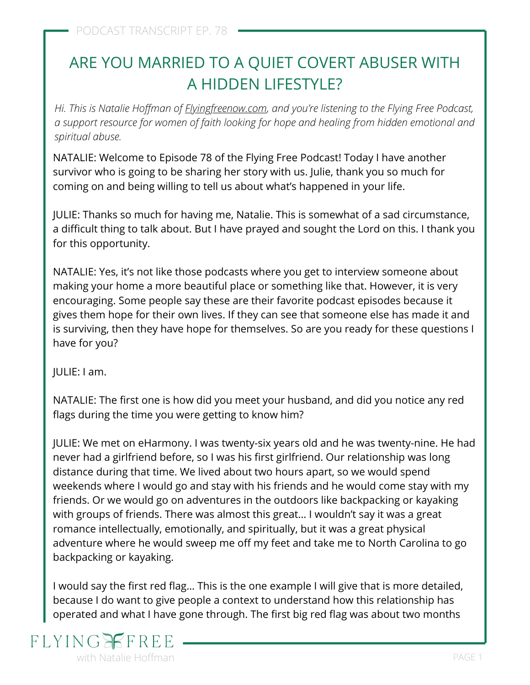# ARE YOU MARRIED TO A QUIET COVERT ABUSER WITH A HIDDEN LIFESTYLE?

*Hi. This is Natalie Hoffman of [Flyingfreenow.com](http://flyingfreenow.com/), and you're listening to the Flying Free Podcast, a support resource for women of faith looking for hope and healing from hidden emotional and spiritual abuse.*

NATALIE: Welcome to Episode 78 of the Flying Free Podcast! Today I have another survivor who is going to be sharing her story with us. Julie, thank you so much for coming on and being willing to tell us about what's happened in your life.

JULIE: Thanks so much for having me, Natalie. This is somewhat of a sad circumstance, a difficult thing to talk about. But I have prayed and sought the Lord on this. I thank you for this opportunity.

NATALIE: Yes, it's not like those podcasts where you get to interview someone about making your home a more beautiful place or something like that. However, it is very encouraging. Some people say these are their favorite podcast episodes because it gives them hope for their own lives. If they can see that someone else has made it and is surviving, then they have hope for themselves. So are you ready for these questions I have for you?

JULIE: I am.

[NATALIE: The first one is how did you meet your husband, and did you notice any red](https://www.flyingfreenow.com/deal-breakers-advice-to-unmarried-women-and-daughters/) flags during the time you were getting to know him?

JULIE: We met on eHarmony. I was twenty-six years old and he was twenty-nine. He had never had a girlfriend before, so I was his first girlfriend. Our relationship was long distance during that time. We lived about two hours apart, so we would spend weekends where I would go and stay with his friends and he would come stay with my friends. Or we would go on adventures in the outdoors like backpacking or kayaking with groups of friends. There was almost this great… I wouldn't say it was a great romance intellectually, emotionally, and spiritually, but it was a great physical adventure where he would sweep me off my feet and take me to North Carolina to go backpacking or kayaking.

I would say the first red flag… This is the one example I will give that is more detailed, because I do want to give people a context to understand how this relationship has operated and what I have gone through. The first big red flag was about two months

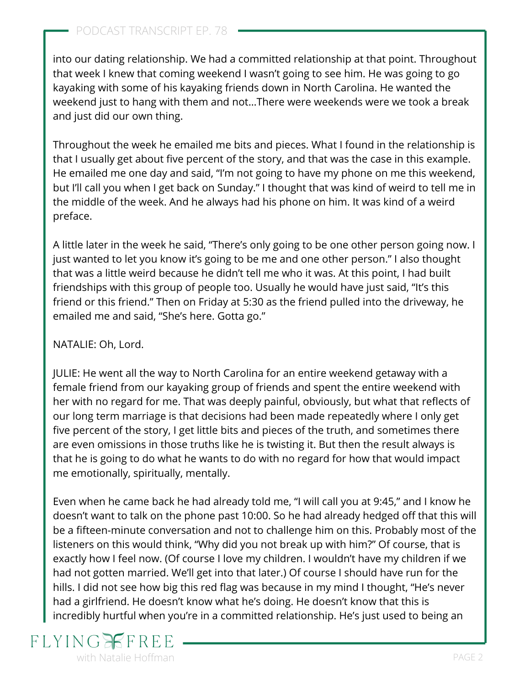#### PODCAST TRANSCRIPT EP. 78

into our dating relationship. We had a committed relationship at that point. Throughout that week I knew that coming weekend I wasn't going to see him. He was going to go kayaking with some of his kayaking friends down in North Carolina. He wanted the weekend just to hang with them and not…There were weekends were we took a break and just did our own thing.

Throughout the week he emailed me bits and pieces. What I found in the relationship is that I usually get about five percent of the story, and that was the case in this example. He emailed me one day and said, "I'm not going to have my phone on me this weekend, but I'll call you when I get back on Sunday." I thought that was kind of weird to tell me in the middle of the week. And he always had his phone on him. It was kind of a weird preface.

A little later in the week he said, "There's only going to be one other person going now. I just wanted to let you know it's going to be me and one other person." I also thought that was a little weird because he didn't tell me who it was. At this point, I had built friendships with this group of people too. Usually he would have just said, "It's this friend or this friend." Then on Friday at 5:30 as the friend pulled into the driveway, he emailed me and said, "She's here. Gotta go."

#### NATALIE: Oh, Lord.

JULIE: He went all the way to North Carolina for an entire weekend getaway with a female friend from our kayaking group of friends and spent the entire weekend with her with no regard for me. That was deeply painful, obviously, but what that reflects of our long term marriage is that decisions had been made repeatedly where I only get five percent of the story, I get little bits and pieces of the truth, and sometimes there are even omissions in those truths like he is twisting it. But then the result always is that he is going to do what he wants to do with no regard for how that would impact me emotionally, spiritually, mentally.

Even when he came back he had already told me, "I will call you at 9:45," and I know he doesn't want to talk on the phone past 10:00. So he had already hedged off that this will be a fifteen-minute conversation and not to challenge him on this. Probably most of the listeners on this would think, "Why did you not break up with him?" Of course, that is exactly how I feel now. (Of course I love my children. I wouldn't have my children if we had not gotten married. We'll get into that later.) Of course I should have run for the hills. I did not see how big this red flag was because in my mind I thought, "He's never had a girlfriend. He doesn't know what he's doing. He doesn't know that this is incredibly hurtful when you're in a committed relationship. He's just used to being an

#### **FLYING** with Natalie Hoffman **PAGE 2** and 2 and 2 and 2 and 2 and 2 and 2 and 2 and 2 and 2 and 2 and 2 and 2 and 2 and 2 and 2 and 2 and 2 and 2 and 2 and 2 and 2 and 2 and 2 and 2 and 2 and 2 and 2 and 2 and 2 and 2 and 2 and 2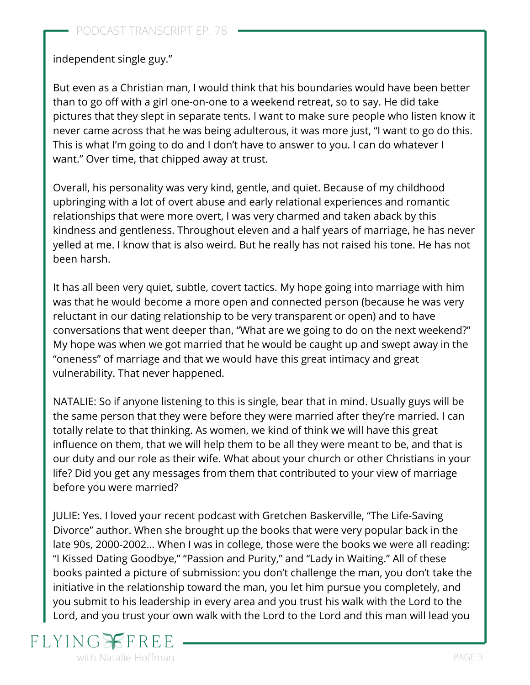independent single guy."

But even as a Christian man, I would think that his boundaries would have been better than to go off with a girl one-on-one to a weekend retreat, so to say. He did take pictures that they slept in separate tents. I want to make sure people who listen know it never came across that he was being adulterous, it was more just, "I want to go do this. This is what I'm going to do and I don't have to answer to you. I can do whatever I want." Over time, that chipped away at trust.

Overall, his personality was very kind, gentle, and quiet. Because of my childhood [upbringing with a lot of overt abuse and early relational experiences and romantic](https://www.flyingfreenow.com/34-2/) relationships that were more overt, I was very charmed and taken aback by this kindness and gentleness. Throughout eleven and a half years of marriage, he has never yelled at me. I know that is also weird. But he really has not raised his tone. He has not been harsh.

It has all been very [quiet, subtle, covert tactics](https://www.flyingfreenow.com/covert-emotional-domestic-abuse/). My hope going into marriage with him was that he would become a more open and connected person (because he was very reluctant in our dating relationship to be very transparent or open) and to have conversations that went deeper than, "What are we going to do on the next weekend?" My hope was when we got married that he would be caught up and swept away in the "oneness" of marriage and that we would have this great intimacy and great vulnerability. That never happened.

NATALIE: So if anyone listening to this is single, bear that in mind. Usually guys will be the same person that they were before they were married after they're married. I can totally relate to that thinking. As women, we kind of think we will have this great influence on them, that we will help them to be all they were meant to be, and that is our duty and [our role as their wife](https://www.flyingfreenow.com/146-2/). What about your church or other Christians in your life? Did you get any messages from them that contributed to your view of marriage before you were married?

[JULIE: Yes. I loved](https://www.amazon.com/Life-Saving-Divorce-Leaving-Destructive-Relationships/dp/1734374721?keywords=life+saving+divorce&qid=1641243931&sr=8-1&linkCode=sl1&tag=visionwomanh-20&linkId=393a3f75fd6a0b2a379975dfdf794b14&language=en_US&ref_=as_li_ss_tl) [your recent podcast with Gretchen Baskerville](https://www.flyingfreenow.com/63-2/)[, "The Life-Saving](https://www.amazon.com/Life-Saving-Divorce-Leaving-Destructive-Relationships/dp/1734374721?keywords=life+saving+divorce&qid=1641243931&sr=8-1&linkCode=sl1&tag=visionwomanh-20&linkId=393a3f75fd6a0b2a379975dfdf794b14&language=en_US&ref_=as_li_ss_tl) Divorce" author. When she brought up the books that were very popular back in the late 90s, 2000-2002… When I was in college, those were the books we were all reading: "I Kissed Dating Goodbye," "Passion and Purity," and "Lady in Waiting." All of these books painted a picture of submission: you don't challenge the man, you don't take the initiative in the relationship toward the man, you let him pursue you completely, and you [submit to his leadership in every area](https://www.flyingfreenow.com/66-2/) and you trust his walk with the Lord to the Lord, and you trust your own walk with the Lord to the Lord and this man will lead you

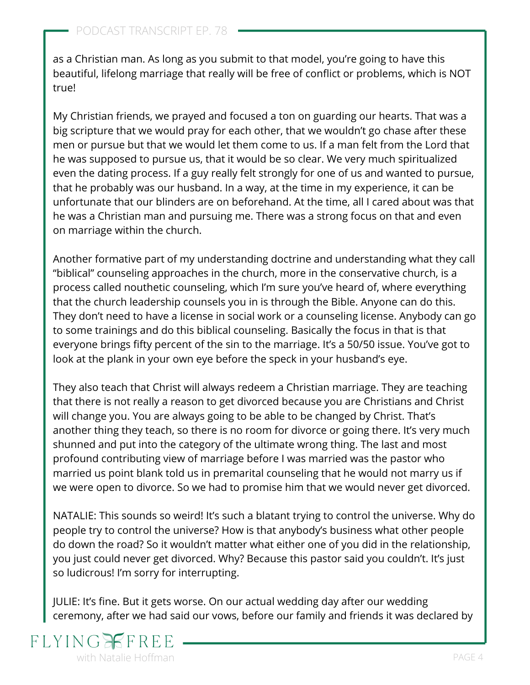as a Christian man. As long as you submit to that model, you're going to have this beautiful, lifelong marriage that really will be free of conflict or problems, which is NOT true!

My Christian friends, we prayed and focused a ton on guarding our hearts. That was a big scripture that we would pray for each other, that we wouldn't go chase after these men or pursue but that we would let them come to us. If a man felt from the Lord that he was supposed to pursue us, that it would be so clear. We very much spiritualized even the dating process. If a guy really felt strongly for one of us and wanted to pursue, that he probably was our husband. In a way, at the time in my experience, it can be unfortunate that our blinders are on beforehand. At the time, all I cared about was that he was a Christian man and pursuing me. There was a strong focus on that and even on marriage within the church.

Another formative part of my understanding doctrine and understanding what they call ["biblical" counseling approaches in the church,](https://www.flyingfreenow.com/10-2/) more in the conservative church, is a process called nouthetic counseling, which I'm sure you've heard of, where everything that the church leadership counsels you in is through the Bible. Anyone can do this. They don't need to have a license in social work or a counseling license. Anybody can go to some trainings and do this biblical counseling. Basically the focus in that is that everyone brings fifty percent of the sin to the marriage. It's a 50/50 issue. You've got to look at the plank in your own eye before the speck in your husband's eye.

They also teach that Christ will always redeem a Christian marriage. They are teaching [that there is not really a reason to get divorced because you are Christians and Christ](https://www.flyingfreenow.com/27-2/) will change you. You are always going to be able to be changed by Christ. That's another thing they teach, so there is no room for divorce or going there. It's very much shunned and put into the category of the ultimate wrong thing. The last and most profound contributing view of marriage before I was married was the pastor who married us point blank told us in premarital counseling that he would not marry us if we were open to divorce. So we had to promise him that we would never get divorced.

NATALIE: This sounds so weird! It's such a blatant trying to control the universe. Why do people try to control the universe? How is that anybody's business what other people do down the road? So it wouldn't matter what either one of you did in the relationship, you just could never get divorced. Why? Because this pastor said you couldn't. It's just so ludicrous! I'm sorry for interrupting.

JULIE: It's fine. But it gets worse. On our actual wedding day after our wedding ceremony, after we had said our vows, before our family and friends it was declared by

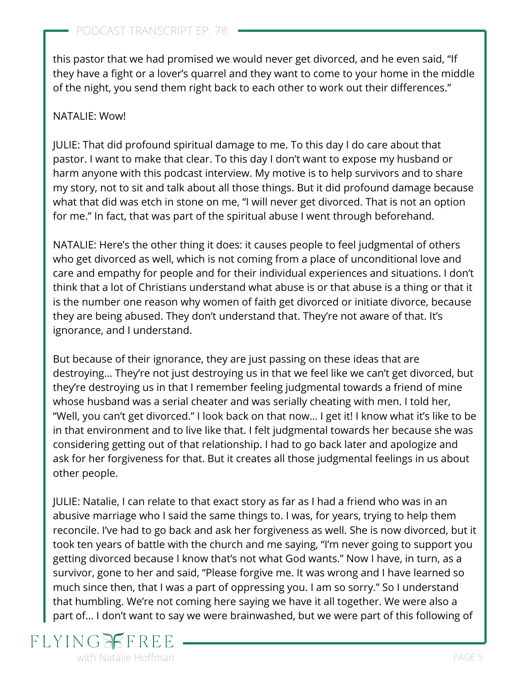this pastor that we had promised we would never get divorced, and he even said, "If they have a fight or a lover's quarrel and they want to come to your home in the middle of the night, you send them right back to each other to work out their differences."

#### NATALIE: Wow!

JULIE: That did profound spiritual damage to me. To this day I do care about that pastor. I want to make that clear. To this day I don't want to expose my husband or harm anyone with this podcast interview. My motive is to help survivors and to share my story, not to sit and talk about all those things. But it did profound damage because what that did was etch in stone on me, "I will never get divorced. That is not an option for me." In fact, that was part of [the spiritual abuse I went through](https://www.flyingfreenow.com/spiritual-abuse-is-using-the-bible-as-a-weapon-of-control/) beforehand.

[NATALIE: Here's the other thing it does: it causes people to feel judgmental of others](https://www.flyingfreenow.com/156-2/) who get divorced as well, which is not coming from a place of unconditional love and care and empathy for people and for their individual experiences and situations. I don't think that a lot of Christians understand what abuse is or that abuse is a thing or that it is the number one reason why women of faith get divorced or initiate divorce, because they are being abused. They don't understand that. They're not aware of that. It's ignorance, and I understand.

But because of their ignorance, they are just passing on these ideas that are destroying… They're not just destroying us in that we feel like we can't get divorced, but they're destroying us in that I remember feeling judgmental towards a friend of mine whose husband was a serial cheater and was serially cheating with men. I told her, "Well, you can't get divorced." I look back on that now… I get it! I know what it's like to be in that environment and to live like that. I felt judgmental towards her because she was considering getting out of that relationship. I had to go back later and apologize and ask for her forgiveness for that. But it creates all those judgmental feelings in us about other people.

JULIE: Natalie, I can relate to that exact story as far as I had a friend who was in an abusive marriage who I said the same things to. I was, for years, trying to help them reconcile. I've had to go back and ask her forgiveness as well. She is now divorced, but it [took ten years of battle with the church and me saying, "I'm never going to support you](https://www.flyingfreenow.com/when-christian-friends-spiritually-abuse-and-mistreat-you/) getting divorced because I know that's not what God wants." Now I have, in turn, as a survivor, gone to her and said, "Please forgive me. It was wrong and I have learned so much since then, that I was a part of oppressing you. I am so sorry." So I understand that humbling. We're not coming here saying we have it all together. We were also a part of… I don't want to say we were brainwashed, but we were part of this following of

## **FLYING** with Natalie Hoffman **PAGE 5** and the set of the set of the set of the set of the set of the set of the set of the set of the set of the set of the set of the set of the set of the set of the set of the set of the set of t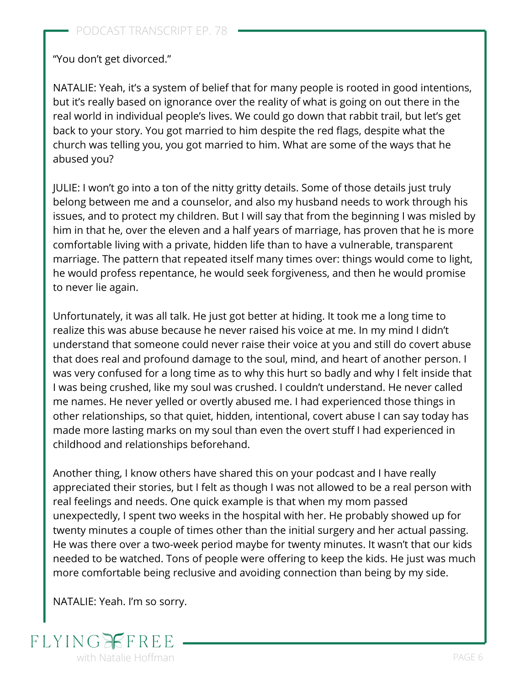"You don't get divorced."

NATALIE: Yeah, it's a system of belief that for many people is rooted in good intentions, but it's really based on ignorance over the reality of what is going on out there in the real world in individual people's lives. We could go down that rabbit trail, but let's get back to your story. You got married to him despite the red flags, despite what the church was telling you, you got married to him. What are some of the ways that he abused you?

JULIE: I won't go into a ton of the nitty gritty details. Some of those details just truly belong between me and a counselor, and also my husband needs to work through his issues, and to protect my children. But I will say that from the beginning I was misled by him in that he, over the eleven and a half years of marriage, has proven that he is more comfortable living with a private, hidden life than to have a vulnerable, transparent marriage. The pattern that repeated itself many times over: things would come to light, [he would profess repentance, he would seek forgiveness, and then he would promise](https://www.flyingfreenow.com/liar-liar-pants-on-fire/) to never lie again.

Unfortunately, it was all talk. He just got better at hiding. It took me a long time to realize this was abuse because he never raised his voice at me. In my mind I didn't understand that someone could never raise their voice at you and [still do covert abuse](https://www.flyingfreenow.com/26-2/) that does real and profound damage to the soul, mind, and heart of another person. I was very confused for a long time as to why this hurt so badly and why I felt inside that I was being crushed, like my soul was crushed. I couldn't understand. He never called me names. He never yelled or overtly abused me. I had experienced those things in other relationships, so that quiet, hidden, intentional, covert abuse I can say today has made more lasting marks on my soul than even the overt stuff I had experienced in childhood and relationships beforehand.

Another thing, I know others have shared this on your podcast and I have really appreciated their stories, but I felt as though I was not allowed to be a real person with real feelings and needs. One quick example is that when my mom passed unexpectedly, I spent two weeks in the hospital with her. He probably showed up for twenty minutes a couple of times other than the initial surgery and her actual passing. He was there over a two-week period maybe for twenty minutes. It wasn't that our kids needed to be watched. Tons of people were offering to keep the kids. He just was much more comfortable being reclusive and avoiding connection than being by my side.

NATALIE: Yeah. I'm so sorry.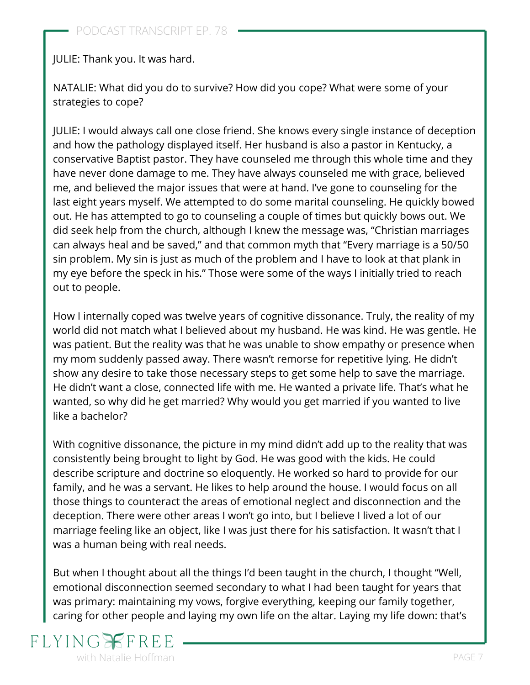JULIE: Thank you. It was hard.

NATALIE: What did you do to survive? How did you cope? What were some of your [strategies to cope?](https://www.flyingfreenow.com/8-2/)

JULIE: I would always call one close friend. She knows every single instance of deception and how the pathology displayed itself. Her husband is also a pastor in Kentucky, a conservative Baptist pastor. They have counseled me through this whole time and they have never done damage to me. They have always counseled me with grace, believed me, and believed the major issues that were at hand. I've gone to counseling for the last eight years myself. We attempted to do some marital counseling. He quickly bowed out. He has attempted to go to counseling a couple of times but quickly bows out. We did seek help from the church, although I knew the message was, "Christian marriages can always heal and be saved," and that common myth that "Every marriage is a 50/50 sin problem. My sin is just as much of the problem and I have to look at that plank in my eye before the speck in his." Those were some of the ways I initially tried to reach out to people.

How I internally coped was twelve years of cognitive dissonance. Truly, the reality of my world did not match what I believed about my husband. He was kind. He was gentle. He was patient. But the reality was that he was unable to show empathy or presence when my mom suddenly passed away. There wasn't remorse for repetitive lying. He didn't show any desire to take those necessary steps to get some help to save the marriage. He didn't want a close, connected life with me. He wanted a private life. That's what he wanted, so why did he get married? Why would you get married if you wanted to live like a bachelor?

With cognitive dissonance, the picture in my mind didn't add up to the reality that was consistently being brought to light by God. He was good with the kids. He could describe scripture and doctrine so eloquently. He worked so hard to provide for our family, and he was a servant. He likes to help around the house. I would focus on all those things to counteract the areas of emotional neglect and disconnection and the deception. There were other areas I won't go into, but I believe I lived a lot of our marriage feeling like an object, like I was just there for his satisfaction. It wasn't that I was a human being with real needs.

But when I thought about all the things I'd been taught in the church, I thought "Well, emotional disconnection seemed secondary to what I had been taught for years that was primary: maintaining my vows, [forgive everything](https://www.flyingfreenow.com/81-2/), keeping our family together, caring for other people and laying my own life on the altar. Laying my life down: that's

## **FLYING** with Natalie Hoffman **PAGE 7** and the set of the set of the set of the set of the set of the set of the set of the set of the set of the set of the set of the set of the set of the set of the set of the set of the set of t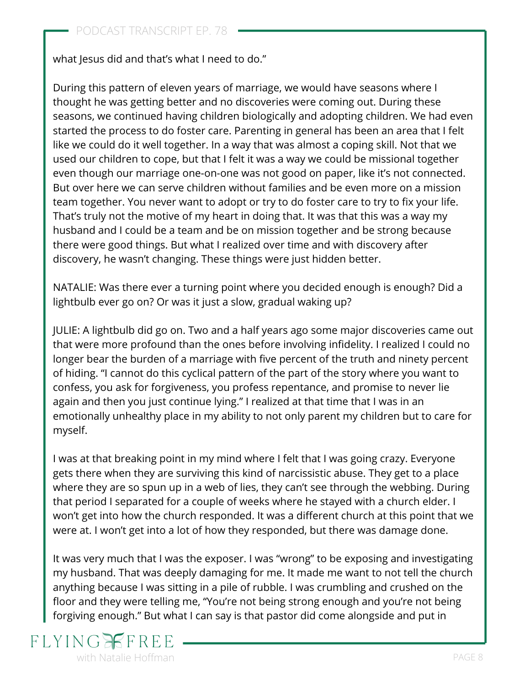what Jesus did and that's what I need to do."

During this pattern of eleven years of marriage, we would have seasons where I thought he was getting better and no discoveries were coming out. During these seasons, we continued having children biologically and adopting children. We had even started the process to do foster care. Parenting in general has been an area that I felt like we could do it well together. In a way that was almost a coping skill. Not that we used our children to cope, but that I felt it was a way we could be missional together even though our marriage one-on-one was not good on paper, like it's not connected. But over here we can serve children without families and be even more on a mission team together. You never want to adopt or try to do foster care to try to fix your life. That's truly not the motive of my heart in doing that. It was that this was a way my husband and I could be a team and be on mission together and be strong because there were good things. But what I realized over time and with discovery after discovery, he wasn't changing. These things were just hidden better.

NATALIE: Was there ever a turning point where you decided [enough is enough?](https://www.flyingfreenow.com/158-2/) Did a lightbulb ever go on? Or was it just a slow, gradual waking up?

JULIE: A lightbulb did go on. Two and a half years ago some major discoveries came out that were more profound than the ones before involving infidelity. I realized I could no longer bear the burden of a marriage with five percent of the truth and ninety percent of hiding. "I cannot do this cyclical pattern of the part of the story where you want to confess, you ask for forgiveness, you profess repentance, and promise to never lie again and then you just continue lying." I realized at that time that I was in an emotionally unhealthy place in my ability to not only parent my children but to care for myself.

I was at that breaking point in my mind where [I felt that I was going crazy](https://www.flyingfreenow.com/89/). Everyone gets there when they are surviving this kind of narcissistic abuse. They get to a place where they are so spun up in a web of lies, they can't see through the webbing. During that period I separated for a couple of weeks where he stayed with a church elder. I won't get into how the church responded. It was a different church at this point that we were at. I won't get into a lot of how they responded, but [there was damage done.](https://www.flyingfreenow.com/episode-21-the-role-the-church-plays-in-emotional-abuse/)

It was very much that I was the exposer. I was "wrong" to be exposing and investigating my husband. That was deeply damaging for me. It made me want to not tell the church anything because I was sitting in a pile of rubble. I was crumbling and crushed on the [floor and they were telling me, "You're not being strong enough and you're not being](https://www.flyingfreenow.com/43-2/) forgiving enough." But what I can say is that pastor did come alongside and put in

## FLYING with Natalie Hoffman **PAGE 8** and the set of the set of the set of the set of the set of the set of the set of the set of the set of the set of the set of the set of the set of the set of the set of the set of the set of t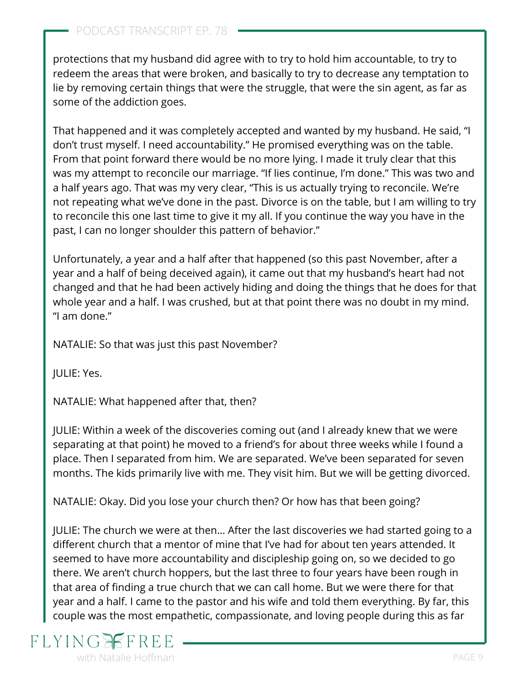protections that my husband did agree with to try to hold him accountable, to try to redeem the areas that were broken, and basically to try to decrease any temptation to lie by removing certain things that were the struggle, that were the sin agent, as far as some of the addiction goes.

That happened and it was completely accepted and wanted by my husband. He said, "I don't trust myself. I need accountability." He promised everything was on the table. From that point forward there would be no more lying. I made it truly clear that this was my attempt to reconcile our marriage. "If lies continue, I'm done." This was two and a half years ago. That was my very clear, "This is us actually trying to reconcile. We're not repeating what we've done in the past. Divorce is on the table, but I am willing to try to reconcile this one last time to give it my all. If you continue the way you have in the past, I can no longer shoulder this pattern of behavior."

Unfortunately, a year and a half after that happened (so this past November, after a year and a half of being deceived again), it came out that my husband's heart had not changed and that he had been actively hiding and doing the things that he does for that whole year and a half. I was crushed, but at that point there was no doubt in my mind. "I am done."

NATALIE: So that was just this past November?

JULIE: Yes.

NATALIE: What happened after that, then?

JULIE: Within a week of the discoveries coming out (and I already knew that we were separating at that point) he moved to a friend's for about three weeks while I found a place. Then I separated from him. [We are separated](https://www.flyingfreenow.com/15-2/). We've been separated for seven months. The kids primarily live with me. They visit him. But we will be getting divorced.

NATALIE: Okay. [Did you lose your church](https://www.flyingfreenow.com/when-you-lose-your-church-family/) then? Or how has that been going?

JULIE: The church we were at then… After the last discoveries we had started going to a different church that a mentor of mine that I've had for about ten years attended. It seemed to have more accountability and discipleship going on, so we decided to go there. We aren't church hoppers, but the last three to four years have been rough in that area of finding a true church that we can call home. But we were there for that year and a half. I came to the pastor and his wife and told them everything. By far, this couple was the most empathetic, compassionate, and loving people during this as far

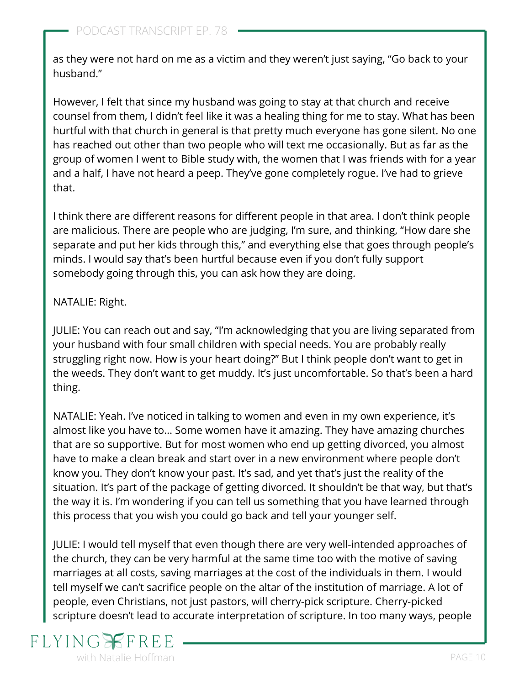as they were not hard on me as a victim and they weren't just saying, "Go back to your husband."

However, I felt that since my husband was going to stay at that church and receive counsel from them, I didn't feel like it was a healing thing for me to stay. What has been hurtful with that church in general is that pretty much everyone has gone silent. No one has reached out other than two people who will text me occasionally. But as far as the group of women I went to Bible study with, the women that I was friends with for a year and a half, I have not heard a peep. They've gone completely rogue. I've had to grieve that.

I think there are different reasons for different people in that area. I don't think people are malicious. There are people who are judging, I'm sure, and thinking, "How dare she separate and put her kids through this," and everything else that goes through people's minds. I would say that's been hurtful because even if you don't fully support somebody going through this, you can ask how they are doing.

#### NATALIE: Right.

JULIE: You can reach out and say, "I'm acknowledging that you are living separated from your husband with four small children with special needs. You are probably really struggling right now. How is your heart doing?" But I think people don't want to get in the weeds. They don't want to get muddy. It's just uncomfortable. So that's been a hard thing.

NATALIE: Yeah. I've noticed in talking to women and even in my own experience, it's almost like you have to… Some women have it amazing. They have amazing churches that are so supportive. But for most [women who end up getting divorced](https://www.flyingfreenow.com/can-divorce-be-life-saving-yes/), you almost have to make a clean break and start over in a new environment where people don't know you. They don't know your past. It's sad, and yet that's just the reality of the situation. It's part of the package of getting divorced. It shouldn't be that way, but that's the way it is. I'm wondering if you can tell us something that you have learned through this process that you wish you could go back and tell your younger self.

JULIE: I would tell myself that even though there are very well-intended approaches of the church, they can be very harmful at the same time too with the motive of saving marriages at all costs, saving marriages at the cost of the individuals in them. I would tell myself we can't sacrifice people on the altar of the institution of marriage. A lot of people, even Christians, not just pastors, will cherry-pick scripture. Cherry-picked scripture doesn't lead to accurate interpretation of scripture. In too many ways, [people](https://www.flyingfreenow.com/9-2/)

## **FLYING** with Natalie Hoffman **PAGE 10**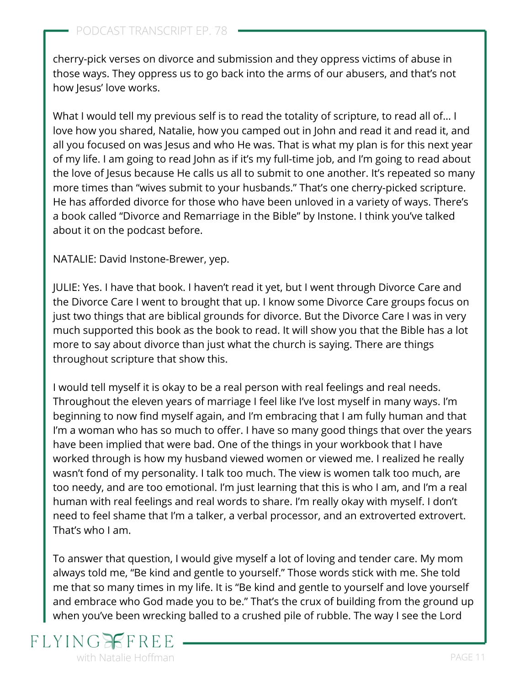[cherry-pick verses on divorce](https://www.flyingfreenow.com/9-2/) and submission and they oppress victims of abuse in those ways. They oppress us to go back into the arms of our abusers, and that's not how Jesus' love works.

What I would tell my previous self is to read the totality of scripture, to read all of... I love how you shared, Natalie, how you camped out in John and read it and read it, and all you focused on was Jesus and who He was. That is what my plan is for this next year of my life. I am going to read John as if it's my full-time job, and I'm going to read about the love of Jesus because He calls us all to submit to one another. It's repeated so many more times than "wives submit to your husbands." That's one cherry-picked scripture. He has afforded divorce for those who have been unloved in a variety of ways. There's a book called ["Divorce and Remarriage in the Bible"](https://www.amazon.com/dp/0830833749/ref=cm_sw_r_as_gl_api_glt_i_34PSAH17ZDQTG3F1RS73?linkCode=ml1&tag=visionwomanh-20) by Instone. I think you've talked about it on the podcast before.

NATALIE: David Instone-Brewer, yep.

JULIE: Yes. I have that book. I haven't read it yet, but I went through Divorce Care and the Divorce Care I went to brought that up. I know some Divorce Care groups focus on just two things that are biblical grounds for divorce. But the Divorce Care I was in very much supported this book as the book to read. It will show you that the Bible has a lot more to say about divorce than just what the church is saying. There are things throughout scripture that show this.

I would tell myself it is okay to be a real person with real feelings and real needs. Throughout the eleven years of marriage I feel like I've lost myself in many ways. I'm beginning to now find myself again, and I'm embracing that I am fully human and that I'm a woman who has so much to offer. I have so many good things that over the years have been implied that were bad. One of the things in your workbook that I have worked through is how my husband viewed women or viewed me. I realized he really wasn't fond of my personality. I talk too much. The view is women talk too much, are too needy, and are too emotional. I'm just learning that this is who I am, and I'm a real human with real feelings and real words to share. I'm really okay with myself. I don't need to feel shame that I'm a talker, a verbal processor, and an extroverted extrovert. That's who I am.

To answer that question, I would give myself a lot of loving and tender care. My mom always told me, "Be kind and gentle to yourself." Those words stick with me. She told me that so many times in my life. It is "Be kind and gentle to yourself and love yourself and embrace who God made you to be." That's the crux of building from the ground up when you've been wrecking balled to a crushed pile of rubble. The way I see the Lord

# $FLYIN$ with Natalie Hoffman **PAGE 11**